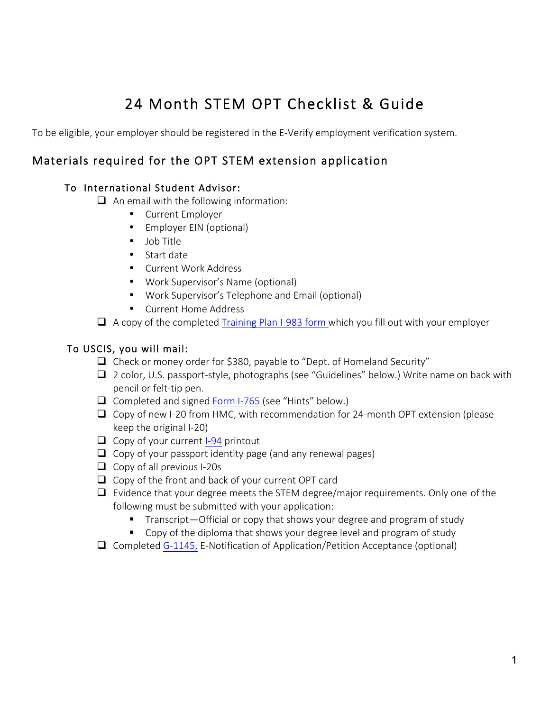# 24 Month STEM OPT Checklist & Guide

To be eligible, your employer should be registered in the E-Verify employment verification system.

## Materials required for the OPT STEM extension application

### To International Student Advisor:

- $\Box$  An email with the following information:
	- Current Employer
	- Employer EIN (optional)
	- Job Title
	- Start date
	- Current Work Address
	- Work Supervisor's Name (optional)
	- Work Supervisor's Telephone and Email (optional)
	- Current Home Address
- $\Box$  A copy of the completed [Training Plan I-983 form](https://studyinthestates.dhs.gov/form-i-983-overview) which you fill out with your employer

### To USCIS, you will mail:

- $\Box$  Check or money order for \$380, payable to "Dept. of Homeland Security"
- $\Box$  2 color, U.S. passport-style, photographs (see "Guidelines" below.) Write name on back with pencil or felt-tip pen.
- $\Box$  Completed and signed [Form I-765](http://www.uscis.gov/files/form/i-765.pdf) (see "Hints" below.)
- $\Box$  Copy of new I-20 from HMC, with recommendation for 24-month OPT extension (please keep the original I-20)
- $\Box$  Copy of your current [I-94](https://i94.cbp.dhs.gov/) printout
- $\Box$  Copy of your passport identity page (and any renewal pages)
- $\Box$  Copy of all previous I-20s
- $\Box$  Copy of the front and back of your current OPT card
- $\Box$  Evidence that your degree meets the STEM degree/major requirements. Only one of the following must be submitted with your application:
	- Transcript—Official or copy that shows your degree and program of study
	- Copy of the diploma that shows your degree level and program of study
- $\Box$  Completed [G-1145,](https://www.uscis.gov/sites/default/files/files/form/g-1145.pdf) E-Notification of Application/Petition Acceptance (optional)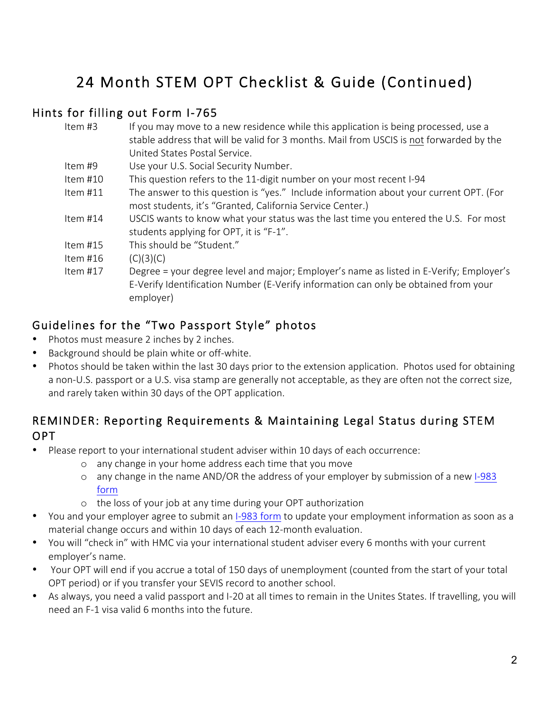## 24 Month STEM OPT Checklist & Guide (Continued)

## Hints for filling out Form I-765

| Item $#3$  | If you may move to a new residence while this application is being processed, use a     |  |
|------------|-----------------------------------------------------------------------------------------|--|
|            | stable address that will be valid for 3 months. Mail from USCIS is not forwarded by the |  |
|            | United States Postal Service.                                                           |  |
| Item #9    | Use your U.S. Social Security Number.                                                   |  |
| Item #10   | This question refers to the 11-digit number on your most recent I-94                    |  |
| Item $#11$ | The answer to this question is "yes." Include information about your current OPT. (For  |  |
|            | most students, it's "Granted, California Service Center.)                               |  |
| Item #14   | USCIS wants to know what your status was the last time you entered the U.S. For most    |  |
|            | students applying for OPT, it is "F-1".                                                 |  |
| Item $#15$ | This should be "Student."                                                               |  |
| Item #16   | (C)(3)(C)                                                                               |  |
| Item $#17$ | Degree = your degree level and major; Employer's name as listed in E-Verify; Employer's |  |
|            | E-Verify Identification Number (E-Verify information can only be obtained from your     |  |
|            | employer)                                                                               |  |
|            |                                                                                         |  |

## Guidelines for the "Two Passport Style" photos

- Photos must measure 2 inches by 2 inches.
- Background should be plain white or off-white.
- Photos should be taken within the last 30 days prior to the extension application. Photos used for obtaining a non-U.S. passport or a U.S. visa stamp are generally not acceptable, as they are often not the correct size, and rarely taken within 30 days of the OPT application.

## REMINDER: Reporting Requirements & Maintaining Legal Status during STEM OPT

- Please report to your international student adviser within 10 days of each occurrence:
	- o any change in your home address each time that you move
	- o any change in the name AND/OR the address of your employer by submission of a new [I-983](https://studyinthestates.dhs.gov/form-i-983-overview) [form](https://studyinthestates.dhs.gov/form-i-983-overview)
	- o the loss of your job at any time during your OPT authorization
- You and your employer agree to submit an [I-983 form](https://studyinthestates.dhs.gov/form-i-983-overview) to update your employment information as soon as a material change occurs and within 10 days of each 12-month evaluation.
- You will "check in" with HMC via your international student adviser every 6 months with your current employer's name.
- Your OPT will end if you accrue a total of 150 days of unemployment (counted from the start of your total OPT period) or if you transfer your SEVIS record to another school.
- As always, you need a valid passport and I-20 at all times to remain in the Unites States. If travelling, you will need an F-1 visa valid 6 months into the future.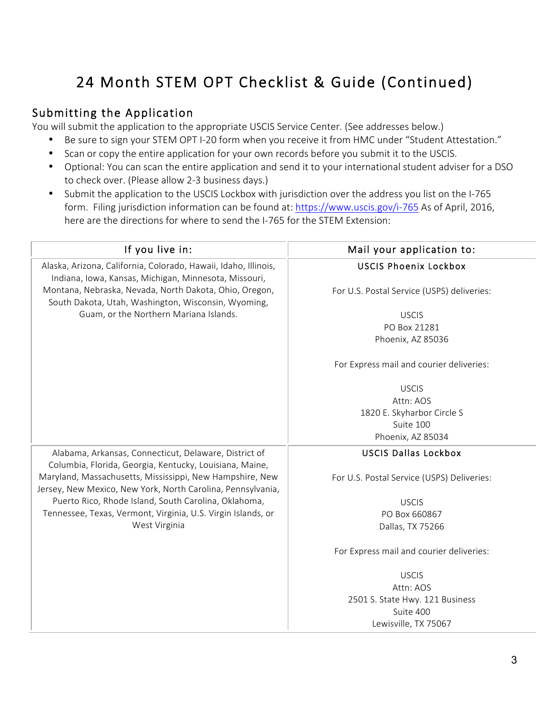# 24 Month STEM OPT Checklist & Guide (Continued)

## Submitting the Application

You will submit the application to the appropriate USCIS Service Center. (See addresses below.)

- Be sure to sign your STEM OPT I-20 form when you receive it from HMC under "Student Attestation."
- Scan or copy the entire application for your own records before you submit it to the USCIS.
- Optional: You can scan the entire application and send it to your international student adviser for a DSO to check over. (Please allow 2-3 business days.)
- Submit the application to the USCIS Lockbox with jurisdiction over the address you list on the I-765 form. Filing jurisdiction information can be found at:<https://www.uscis.gov/i-765> As of April, 2016, here are the directions for where to send the I-765 for the STEM Extension:

| If you live in:                                                                                                          | Mail your application to:                  |
|--------------------------------------------------------------------------------------------------------------------------|--------------------------------------------|
| Alaska, Arizona, California, Colorado, Hawaii, Idaho, Illinois,<br>Indiana, Iowa, Kansas, Michigan, Minnesota, Missouri, | <b>USCIS Phoenix Lockbox</b>               |
| Montana, Nebraska, Nevada, North Dakota, Ohio, Oregon,<br>South Dakota, Utah, Washington, Wisconsin, Wyoming,            | For U.S. Postal Service (USPS) deliveries: |
| Guam, or the Northern Mariana Islands.                                                                                   | <b>USCIS</b>                               |
|                                                                                                                          | PO Box 21281                               |
|                                                                                                                          | Phoenix, AZ 85036                          |
|                                                                                                                          | For Express mail and courier deliveries:   |
|                                                                                                                          | <b>USCIS</b>                               |
|                                                                                                                          | Attn: AOS                                  |
|                                                                                                                          | 1820 E. Skyharbor Circle S                 |
|                                                                                                                          | Suite 100                                  |
|                                                                                                                          | Phoenix, AZ 85034                          |
| Alabama, Arkansas, Connecticut, Delaware, District of<br>Columbia, Florida, Georgia, Kentucky, Louisiana, Maine,         | <b>USCIS Dallas Lockbox</b>                |
| Maryland, Massachusetts, Mississippi, New Hampshire, New<br>Jersey, New Mexico, New York, North Carolina, Pennsylvania,  | For U.S. Postal Service (USPS) Deliveries: |
| Puerto Rico, Rhode Island, South Carolina, Oklahoma,                                                                     | <b>USCIS</b>                               |
| Tennessee, Texas, Vermont, Virginia, U.S. Virgin Islands, or                                                             | PO Box 660867                              |
| West Virginia                                                                                                            | Dallas, TX 75266                           |
|                                                                                                                          | For Express mail and courier deliveries:   |
|                                                                                                                          | <b>USCIS</b>                               |
|                                                                                                                          | Attn: AOS                                  |
|                                                                                                                          | 2501 S. State Hwy. 121 Business            |
|                                                                                                                          | Suite 400                                  |
|                                                                                                                          | Lewisville, TX 75067                       |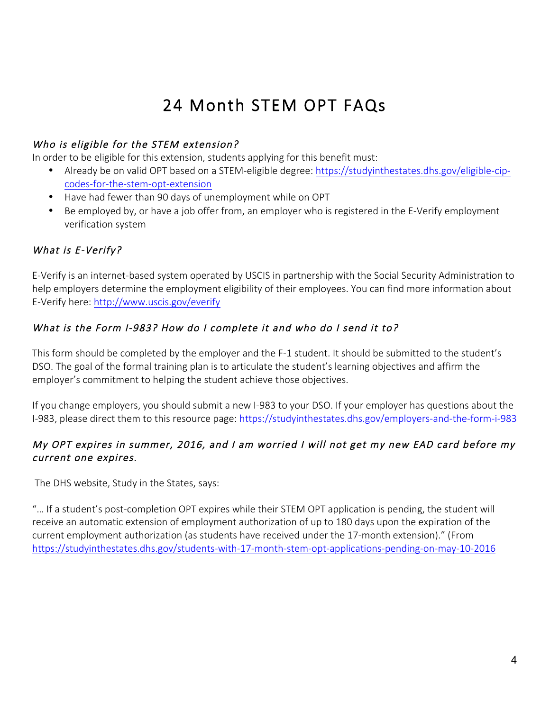# 24 Month STEM OPT FAQs

### Who is eligible for the STEM extension?

In order to be eligible for this extension, students applying for this benefit must:

- Already be on valid OPT based on a STEM-eligible degree: [https://studyinthestates.dhs.gov/eligible-cip](https://studyinthestates.dhs.gov/eligible-cip-codes-for-the-stem-opt-extension)[codes-for-the-stem-opt-extension](https://studyinthestates.dhs.gov/eligible-cip-codes-for-the-stem-opt-extension)
- Have had fewer than 90 days of unemployment while on OPT
- Be employed by, or have a job offer from, an employer who is registered in the E-Verify employment verification system

## What is E-Verify?

E-Verify is an internet-based system operated by USCIS in partnership with the Social Security Administration to help employers determine the employment eligibility of their employees. You can find more information about E-Verify here: <http://www.uscis.gov/everify>

### What is the Form I-983? How do I complete it and who do I send it to?

This form should be completed by the employer and the F-1 student. It should be submitted to the student's DSO. The goal of the formal training plan is to articulate the student's learning objectives and affirm the employer's commitment to helping the student achieve those objectives.

If you change employers, you should submit a new I-983 to your DSO. If your employer has questions about the I-983, please direct them to this resource page: <https://studyinthestates.dhs.gov/employers-and-the-form-i-983>

### My OPT expires in summer, 2016, and I am worried I will not get my new EAD card before my current one expires.

The DHS website, Study in the States, says:

"… If a student's post-completion OPT expires while their STEM OPT application is pending, the student will receive an automatic extension of employment authorization of up to 180 days upon the expiration of the current employment authorization (as students have received under the 17-month extension)." (From <https://studyinthestates.dhs.gov/students-with-17-month-stem-opt-applications-pending-on-may-10-2016>